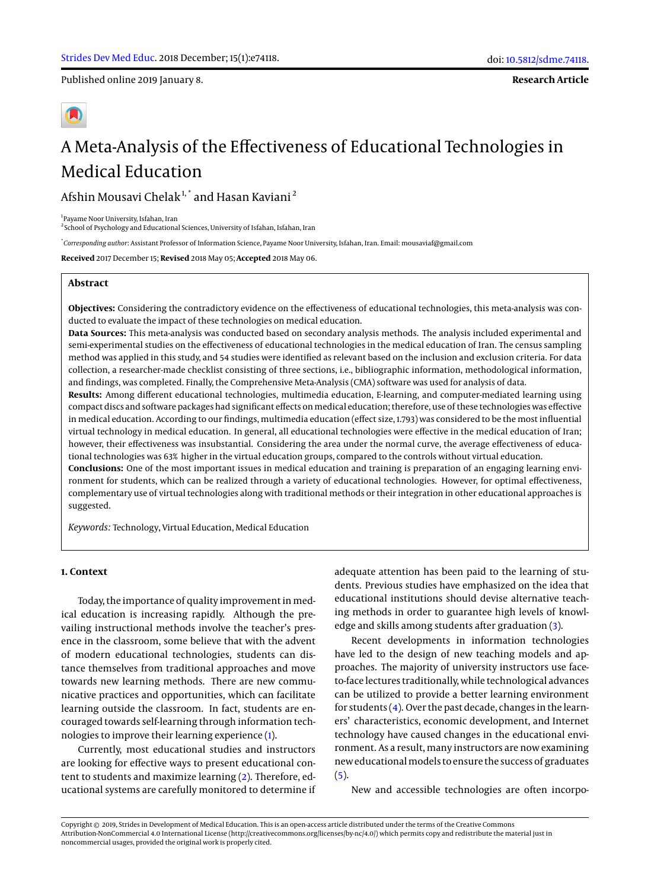Published online 2019 January 8.

**Research Article**

# A Meta-Analysis of the Effectiveness of Educational Technologies in Medical Education

Afshin Mousavi Chelak<sup>1,\*</sup> and Hasan Kaviani<sup>2</sup>

1 Payame Noor University, Isfahan, Iran

<sup>2</sup> School of Psychology and Educational Sciences, University of Isfahan, Isfahan, Iran

\* *Corresponding author*: Assistant Professor of Information Science, Payame Noor University, Isfahan, Iran. Email: mousaviaf@gmail.com

**Received** 2017 December 15; **Revised** 2018 May 05; **Accepted** 2018 May 06.

# **Abstract**

**Objectives:** Considering the contradictory evidence on the effectiveness of educational technologies, this meta-analysis was conducted to evaluate the impact of these technologies on medical education.

**Data Sources:** This meta-analysis was conducted based on secondary analysis methods. The analysis included experimental and semi-experimental studies on the effectiveness of educational technologies in the medical education of Iran. The census sampling method was applied in this study, and 54 studies were identified as relevant based on the inclusion and exclusion criteria. For data collection, a researcher-made checklist consisting of three sections, i.e., bibliographic information, methodological information, and findings, was completed. Finally, the Comprehensive Meta-Analysis (CMA) software was used for analysis of data.

**Results:** Among different educational technologies, multimedia education, E-learning, and computer-mediated learning using compact discs and software packages had significant effects on medical education; therefore, use of these technologies was effective in medical education. According to our findings, multimedia education (effect size, 1.793) was considered to be the most influential virtual technology in medical education. In general, all educational technologies were effective in the medical education of Iran; however, their effectiveness was insubstantial. Considering the area under the normal curve, the average effectiveness of educational technologies was 63% higher in the virtual education groups, compared to the controls without virtual education.

**Conclusions:** One of the most important issues in medical education and training is preparation of an engaging learning environment for students, which can be realized through a variety of educational technologies. However, for optimal effectiveness, complementary use of virtual technologies along with traditional methods or their integration in other educational approaches is suggested.

*Keywords:* Technology, Virtual Education, Medical Education

# **1. Context**

Today, the importance of quality improvement in medical education is increasing rapidly. Although the prevailing instructional methods involve the teacher's presence in the classroom, some believe that with the advent of modern educational technologies, students can distance themselves from traditional approaches and move towards new learning methods. There are new communicative practices and opportunities, which can facilitate learning outside the classroom. In fact, students are encouraged towards self-learning through information technologies to improve their learning experience [\(1\)](#page-6-0).

Currently, most educational studies and instructors are looking for effective ways to present educational content to students and maximize learning [\(2\)](#page-6-1). Therefore, educational systems are carefully monitored to determine if

adequate attention has been paid to the learning of students. Previous studies have emphasized on the idea that educational institutions should devise alternative teaching methods in order to guarantee high levels of knowledge and skills among students after graduation [\(3\)](#page-6-2).

Recent developments in information technologies have led to the design of new teaching models and approaches. The majority of university instructors use faceto-face lectures traditionally, while technological advances can be utilized to provide a better learning environment for students  $(4)$ . Over the past decade, changes in the learners' characteristics, economic development, and Internet technology have caused changes in the educational environment. As a result, many instructors are now examining new educationalmodels to ensure the success of graduates  $(5).$  $(5).$ 

New and accessible technologies are often incorpo-

Copyright © 2019, Strides in Development of Medical Education. This is an open-access article distributed under the terms of the Creative Commons Attribution-NonCommercial 4.0 International License (http://creativecommons.org/licenses/by-nc/4.0/) which permits copy and redistribute the material just in noncommercial usages, provided the original work is properly cited.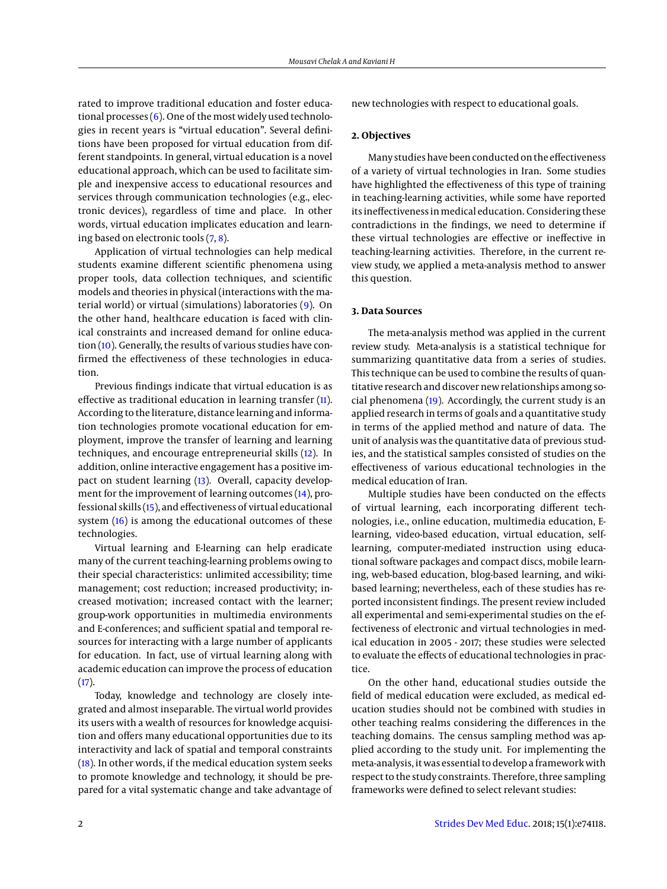rated to improve traditional education and foster educational processes  $(6)$ . One of the most widely used technologies in recent years is "virtual education". Several definitions have been proposed for virtual education from different standpoints. In general, virtual education is a novel educational approach, which can be used to facilitate simple and inexpensive access to educational resources and services through communication technologies (e.g., electronic devices), regardless of time and place. In other words, virtual education implicates education and learning based on electronic tools [\(7,](#page-6-6) [8\)](#page-6-7).

Application of virtual technologies can help medical students examine different scientific phenomena using proper tools, data collection techniques, and scientific models and theories in physical (interactions with the material world) or virtual (simulations) laboratories [\(9\)](#page-6-8). On the other hand, healthcare education is faced with clinical constraints and increased demand for online education [\(10\)](#page-6-9). Generally, the results of various studies have confirmed the effectiveness of these technologies in education.

Previous findings indicate that virtual education is as effective as traditional education in learning transfer [\(11\)](#page-6-10). According to the literature, distance learning and information technologies promote vocational education for employment, improve the transfer of learning and learning techniques, and encourage entrepreneurial skills [\(12\)](#page-6-11). In addition, online interactive engagement has a positive impact on student learning [\(13\)](#page-6-12). Overall, capacity development for the improvement of learning outcomes [\(14\)](#page-6-13), professional skills [\(15\)](#page-6-14), and effectiveness of virtual educational system [\(16\)](#page-6-15) is among the educational outcomes of these technologies.

Virtual learning and E-learning can help eradicate many of the current teaching-learning problems owing to their special characteristics: unlimited accessibility; time management; cost reduction; increased productivity; increased motivation; increased contact with the learner; group-work opportunities in multimedia environments and E-conferences; and sufficient spatial and temporal resources for interacting with a large number of applicants for education. In fact, use of virtual learning along with academic education can improve the process of education  $(17).$  $(17).$ 

Today, knowledge and technology are closely integrated and almost inseparable. The virtual world provides its users with a wealth of resources for knowledge acquisition and offers many educational opportunities due to its interactivity and lack of spatial and temporal constraints [\(18\)](#page-7-1). In other words, if the medical education system seeks to promote knowledge and technology, it should be prepared for a vital systematic change and take advantage of new technologies with respect to educational goals.

#### **2. Objectives**

Many studies have been conducted on the effectiveness of a variety of virtual technologies in Iran. Some studies have highlighted the effectiveness of this type of training in teaching-learning activities, while some have reported its ineffectiveness inmedical education. Considering these contradictions in the findings, we need to determine if these virtual technologies are effective or ineffective in teaching-learning activities. Therefore, in the current review study, we applied a meta-analysis method to answer this question.

## **3. Data Sources**

The meta-analysis method was applied in the current review study. Meta-analysis is a statistical technique for summarizing quantitative data from a series of studies. This technique can be used to combine the results of quantitative research and discover new relationships among social phenomena [\(19\)](#page-7-2). Accordingly, the current study is an applied research in terms of goals and a quantitative study in terms of the applied method and nature of data. The unit of analysis was the quantitative data of previous studies, and the statistical samples consisted of studies on the effectiveness of various educational technologies in the medical education of Iran.

Multiple studies have been conducted on the effects of virtual learning, each incorporating different technologies, i.e., online education, multimedia education, Elearning, video-based education, virtual education, selflearning, computer-mediated instruction using educational software packages and compact discs, mobile learning, web-based education, blog-based learning, and wikibased learning; nevertheless, each of these studies has reported inconsistent findings. The present review included all experimental and semi-experimental studies on the effectiveness of electronic and virtual technologies in medical education in 2005 - 2017; these studies were selected to evaluate the effects of educational technologies in practice.

On the other hand, educational studies outside the field of medical education were excluded, as medical education studies should not be combined with studies in other teaching realms considering the differences in the teaching domains. The census sampling method was applied according to the study unit. For implementing the meta-analysis, it was essential to develop a framework with respect to the study constraints. Therefore, three sampling frameworks were defined to select relevant studies: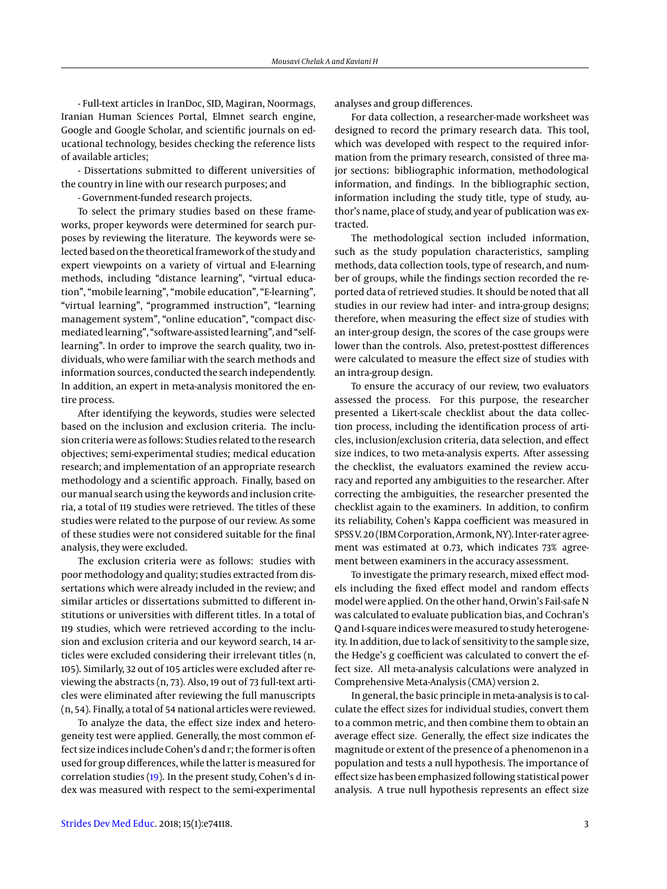- Full-text articles in IranDoc, SID, Magiran, Noormags, Iranian Human Sciences Portal, Elmnet search engine, Google and Google Scholar, and scientific journals on educational technology, besides checking the reference lists of available articles;

- Dissertations submitted to different universities of the country in line with our research purposes; and

- Government-funded research projects.

To select the primary studies based on these frameworks, proper keywords were determined for search purposes by reviewing the literature. The keywords were selected based on the theoretical framework of the study and expert viewpoints on a variety of virtual and E-learning methods, including "distance learning", "virtual education", "mobile learning", "mobile education", "E-learning", "virtual learning", "programmed instruction", "learning management system", "online education", "compact discmediated learning", "software-assisted learning", and "selflearning". In order to improve the search quality, two individuals, who were familiar with the search methods and information sources, conducted the search independently. In addition, an expert in meta-analysis monitored the entire process.

After identifying the keywords, studies were selected based on the inclusion and exclusion criteria. The inclusion criteria were as follows: Studies related to the research objectives; semi-experimental studies; medical education research; and implementation of an appropriate research methodology and a scientific approach. Finally, based on our manual search using the keywords and inclusion criteria, a total of 119 studies were retrieved. The titles of these studies were related to the purpose of our review. As some of these studies were not considered suitable for the final analysis, they were excluded.

The exclusion criteria were as follows: studies with poor methodology and quality; studies extracted from dissertations which were already included in the review; and similar articles or dissertations submitted to different institutions or universities with different titles. In a total of 119 studies, which were retrieved according to the inclusion and exclusion criteria and our keyword search, 14 articles were excluded considering their irrelevant titles (n, 105). Similarly, 32 out of 105 articles were excluded after reviewing the abstracts (n, 73). Also, 19 out of 73 full-text articles were eliminated after reviewing the full manuscripts (n, 54). Finally, a total of 54 national articles were reviewed.

To analyze the data, the effect size index and heterogeneity test were applied. Generally, the most common effect size indices include Cohen's d and r; the former is often used for group differences, while the latter is measured for correlation studies [\(19\)](#page-7-2). In the present study, Cohen's d index was measured with respect to the semi-experimental

analyses and group differences.

For data collection, a researcher-made worksheet was designed to record the primary research data. This tool, which was developed with respect to the required information from the primary research, consisted of three major sections: bibliographic information, methodological information, and findings. In the bibliographic section, information including the study title, type of study, author's name, place of study, and year of publication was extracted.

The methodological section included information, such as the study population characteristics, sampling methods, data collection tools, type of research, and number of groups, while the findings section recorded the reported data of retrieved studies. It should be noted that all studies in our review had inter- and intra-group designs; therefore, when measuring the effect size of studies with an inter-group design, the scores of the case groups were lower than the controls. Also, pretest-posttest differences were calculated to measure the effect size of studies with an intra-group design.

To ensure the accuracy of our review, two evaluators assessed the process. For this purpose, the researcher presented a Likert-scale checklist about the data collection process, including the identification process of articles, inclusion/exclusion criteria, data selection, and effect size indices, to two meta-analysis experts. After assessing the checklist, the evaluators examined the review accuracy and reported any ambiguities to the researcher. After correcting the ambiguities, the researcher presented the checklist again to the examiners. In addition, to confirm its reliability, Cohen's Kappa coefficient was measured in SPSS V. 20 (IBM Corporation, Armonk, NY). Inter-rater agreement was estimated at 0.73, which indicates 73% agreement between examiners in the accuracy assessment.

To investigate the primary research, mixed effect models including the fixed effect model and random effects model were applied. On the other hand, Orwin's Fail-safe N was calculated to evaluate publication bias, and Cochran's Q and I-square indices weremeasured to study heterogeneity. In addition, due to lack of sensitivity to the sample size, the Hedge's g coefficient was calculated to convert the effect size. All meta-analysis calculations were analyzed in Comprehensive Meta-Analysis (CMA) version 2.

In general, the basic principle in meta-analysis is to calculate the effect sizes for individual studies, convert them to a common metric, and then combine them to obtain an average effect size. Generally, the effect size indicates the magnitude or extent of the presence of a phenomenon in a population and tests a null hypothesis. The importance of effect size has been emphasized following statistical power analysis. A true null hypothesis represents an effect size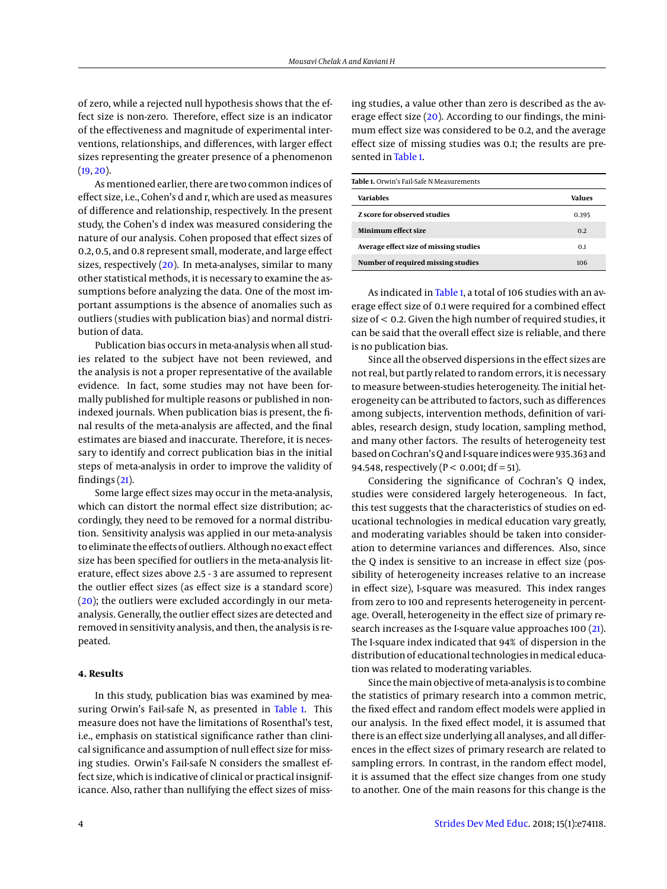of zero, while a rejected null hypothesis shows that the effect size is non-zero. Therefore, effect size is an indicator of the effectiveness and magnitude of experimental interventions, relationships, and differences, with larger effect sizes representing the greater presence of a phenomenon  $(19, 20)$  $(19, 20)$  $(19, 20)$ .

As mentioned earlier, there are two common indices of effect size, i.e., Cohen's d and r, which are used as measures of difference and relationship, respectively. In the present study, the Cohen's d index was measured considering the nature of our analysis. Cohen proposed that effect sizes of 0.2, 0.5, and 0.8 represent small, moderate, and large effect sizes, respectively [\(20\)](#page-7-3). In meta-analyses, similar to many other statistical methods, it is necessary to examine the assumptions before analyzing the data. One of the most important assumptions is the absence of anomalies such as outliers (studies with publication bias) and normal distribution of data.

Publication bias occurs in meta-analysis when all studies related to the subject have not been reviewed, and the analysis is not a proper representative of the available evidence. In fact, some studies may not have been formally published for multiple reasons or published in nonindexed journals. When publication bias is present, the final results of the meta-analysis are affected, and the final estimates are biased and inaccurate. Therefore, it is necessary to identify and correct publication bias in the initial steps of meta-analysis in order to improve the validity of findings [\(21\)](#page-7-4).

Some large effect sizes may occur in the meta-analysis, which can distort the normal effect size distribution; accordingly, they need to be removed for a normal distribution. Sensitivity analysis was applied in our meta-analysis to eliminate the effects of outliers. Although no exact effect size has been specified for outliers in the meta-analysis literature, effect sizes above 2.5 - 3 are assumed to represent the outlier effect sizes (as effect size is a standard score) [\(20\)](#page-7-3); the outliers were excluded accordingly in our metaanalysis. Generally, the outlier effect sizes are detected and removed in sensitivity analysis, and then, the analysis is repeated.

## **4. Results**

In this study, publication bias was examined by mea-suring Orwin's Fail-safe N, as presented in [Table 1.](#page-3-0) This measure does not have the limitations of Rosenthal's test, i.e., emphasis on statistical significance rather than clinical significance and assumption of null effect size for missing studies. Orwin's Fail-safe N considers the smallest effect size, which is indicative of clinical or practical insignificance. Also, rather than nullifying the effect sizes of missing studies, a value other than zero is described as the average effect size [\(20\)](#page-7-3). According to our findings, the minimum effect size was considered to be 0.2, and the average effect size of missing studies was 0.1; the results are presented in [Table 1.](#page-3-0)

<span id="page-3-0"></span>

| Table 1. Orwin's Fail-Safe N Measurements |        |  |  |  |
|-------------------------------------------|--------|--|--|--|
| Variables                                 | Values |  |  |  |
| <b>Z</b> score for observed studies       | 0.395  |  |  |  |
| Minimum effect size                       | 0.2    |  |  |  |
| Average effect size of missing studies    | 0.1    |  |  |  |
| Number of required missing studies        | 106    |  |  |  |

As indicated in [Table 1,](#page-3-0) a total of 106 studies with an average effect size of 0.1 were required for a combined effect size of < 0.2. Given the high number of required studies, it can be said that the overall effect size is reliable, and there is no publication bias.

Since all the observed dispersions in the effect sizes are not real, but partly related to random errors, it is necessary to measure between-studies heterogeneity. The initial heterogeneity can be attributed to factors, such as differences among subjects, intervention methods, definition of variables, research design, study location, sampling method, and many other factors. The results of heterogeneity test based on Cochran'sQ and I-square indices were 935.363 and 94.548, respectively ( $P < 0.001$ ; df = 51).

Considering the significance of Cochran's Q index, studies were considered largely heterogeneous. In fact, this test suggests that the characteristics of studies on educational technologies in medical education vary greatly, and moderating variables should be taken into consideration to determine variances and differences. Also, since the Q index is sensitive to an increase in effect size (possibility of heterogeneity increases relative to an increase in effect size), I-square was measured. This index ranges from zero to 100 and represents heterogeneity in percentage. Overall, heterogeneity in the effect size of primary re-search increases as the I-square value approaches 100 [\(21\)](#page-7-4). The I-square index indicated that 94% of dispersion in the distribution of educational technologies in medical education was related to moderating variables.

Since the main objective of meta-analysis is to combine the statistics of primary research into a common metric, the fixed effect and random effect models were applied in our analysis. In the fixed effect model, it is assumed that there is an effect size underlying all analyses, and all differences in the effect sizes of primary research are related to sampling errors. In contrast, in the random effect model, it is assumed that the effect size changes from one study to another. One of the main reasons for this change is the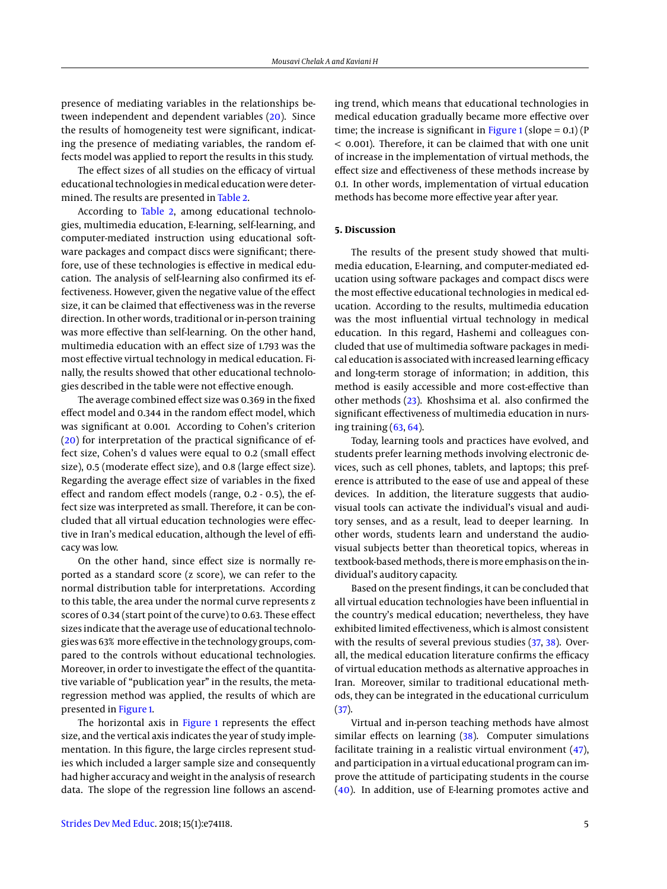presence of mediating variables in the relationships between independent and dependent variables [\(20\)](#page-7-3). Since the results of homogeneity test were significant, indicating the presence of mediating variables, the random effects model was applied to report the results in this study.

The effect sizes of all studies on the efficacy of virtual educational technologies inmedical education were determined. The results are presented in [Table 2.](#page-5-0)

According to [Table 2,](#page-5-0) among educational technologies, multimedia education, E-learning, self-learning, and computer-mediated instruction using educational software packages and compact discs were significant; therefore, use of these technologies is effective in medical education. The analysis of self-learning also confirmed its effectiveness. However, given the negative value of the effect size, it can be claimed that effectiveness was in the reverse direction. In other words, traditional or in-person training was more effective than self-learning. On the other hand, multimedia education with an effect size of 1.793 was the most effective virtual technology in medical education. Finally, the results showed that other educational technologies described in the table were not effective enough.

The average combined effect size was 0.369 in the fixed effect model and 0.344 in the random effect model, which was significant at 0.001. According to Cohen's criterion [\(20\)](#page-7-3) for interpretation of the practical significance of effect size, Cohen's d values were equal to 0.2 (small effect size), 0.5 (moderate effect size), and 0.8 (large effect size). Regarding the average effect size of variables in the fixed effect and random effect models (range, 0.2 - 0.5), the effect size was interpreted as small. Therefore, it can be concluded that all virtual education technologies were effective in Iran's medical education, although the level of efficacy was low.

On the other hand, since effect size is normally reported as a standard score (z score), we can refer to the normal distribution table for interpretations. According to this table, the area under the normal curve represents z scores of 0.34 (start point of the curve) to 0.63. These effect sizes indicate that the average use of educational technologies was 63% more effective in the technology groups, compared to the controls without educational technologies. Moreover, in order to investigate the effect of the quantitative variable of "publication year" in the results, the metaregression method was applied, the results of which are presented in [Figure 1.](#page-5-1)

The horizontal axis in [Figure 1](#page-5-1) represents the effect size, and the vertical axis indicates the year of study implementation. In this figure, the large circles represent studies which included a larger sample size and consequently had higher accuracy and weight in the analysis of research data. The slope of the regression line follows an ascend-

ing trend, which means that educational technologies in medical education gradually became more effective over time; the increase is significant in [Figure 1](#page-5-1) (slope =  $0.1$ ) (P < 0.001). Therefore, it can be claimed that with one unit of increase in the implementation of virtual methods, the effect size and effectiveness of these methods increase by 0.1. In other words, implementation of virtual education methods has become more effective year after year.

#### **5. Discussion**

The results of the present study showed that multimedia education, E-learning, and computer-mediated education using software packages and compact discs were the most effective educational technologies in medical education. According to the results, multimedia education was the most influential virtual technology in medical education. In this regard, Hashemi and colleagues concluded that use of multimedia software packages in medical education is associated with increased learning efficacy and long-term storage of information; in addition, this method is easily accessible and more cost-effective than other methods [\(23\)](#page-7-5). Khoshsima et al. also confirmed the significant effectiveness of multimedia education in nursing training  $(63, 64)$  $(63, 64)$  $(63, 64)$ .

Today, learning tools and practices have evolved, and students prefer learning methods involving electronic devices, such as cell phones, tablets, and laptops; this preference is attributed to the ease of use and appeal of these devices. In addition, the literature suggests that audiovisual tools can activate the individual's visual and auditory senses, and as a result, lead to deeper learning. In other words, students learn and understand the audiovisual subjects better than theoretical topics, whereas in textbook-basedmethods, there ismore emphasis on the individual's auditory capacity.

Based on the present findings, it can be concluded that all virtual education technologies have been influential in the country's medical education; nevertheless, they have exhibited limited effectiveness, which is almost consistent with the results of several previous studies [\(37,](#page-7-6) [38\)](#page-7-7). Overall, the medical education literature confirms the efficacy of virtual education methods as alternative approaches in Iran. Moreover, similar to traditional educational methods, they can be integrated in the educational curriculum [\(37\)](#page-7-6).

Virtual and in-person teaching methods have almost similar effects on learning [\(38\)](#page-7-7). Computer simulations facilitate training in a realistic virtual environment [\(47\)](#page-7-8), and participation in a virtual educational program can improve the attitude of participating students in the course [\(40\)](#page-7-9). In addition, use of E-learning promotes active and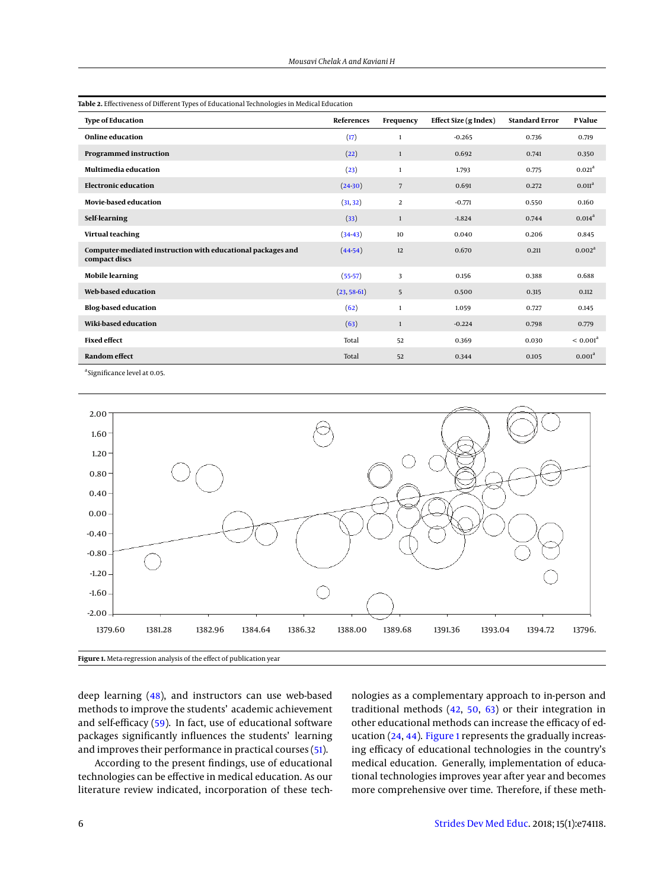<span id="page-5-0"></span>

| <b>Type of Education</b>                                                     | References    | Frequency      | Effect Size (g Index) | <b>Standard Error</b> | <b>P</b> Value       |
|------------------------------------------------------------------------------|---------------|----------------|-----------------------|-----------------------|----------------------|
| Online education                                                             | (17)          | $\mathbf{1}$   | $-0.265$              | 0.736                 | 0.719                |
| <b>Programmed instruction</b>                                                | (22)          | $\mathbf{1}$   | 0.692                 | 0.741                 | 0.350                |
| Multimedia education                                                         | (23)          | $\mathbf{1}$   | 1.793                 | 0.775                 | 0.021 <sup>a</sup>   |
| <b>Electronic education</b>                                                  | (2430)        | 7              | 0.691                 | 0.272                 | 0.011 <sup>a</sup>   |
| <b>Movie-based education</b>                                                 | (31, 32)      | $\overline{2}$ | $-0.771$              | 0.550                 | 0.160                |
| Self-learning                                                                | (33)          | $\mathbf{1}$   | $-1.824$              | 0.744                 | 0.014 <sup>a</sup>   |
| Virtual teaching                                                             | $(34-43)$     | 10             | 0.040                 | 0.206                 | 0.845                |
| Computer-mediated instruction with educational packages and<br>compact discs | $(44-54)$     | 12             | 0.670                 | 0.211                 | 0.002 <sup>a</sup>   |
| <b>Mobile learning</b>                                                       | $(55-57)$     | 3              | 0.156                 | 0.388                 | 0.688                |
| Web-based education                                                          | $(23, 58-61)$ | 5              | 0.500                 | 0.315                 | 0.112                |
| <b>Blog-based education</b>                                                  | (62)          | $\mathbf{1}$   | 1.059                 | 0.727                 | 0.145                |
| Wiki-based education                                                         | (63)          | $\mathbf{1}$   | $-0.224$              | 0.798                 | 0.779                |
| <b>Fixed effect</b>                                                          | Total         | 52             | 0.369                 | 0.030                 | < 0.001 <sup>a</sup> |
| <b>Random effect</b>                                                         | Total         | 52             | 0.344                 | 0.105                 | 0.001 <sup>a</sup>   |

<span id="page-5-1"></span><sup>a</sup> Significance level at 0.05.



deep learning [\(48\)](#page-7-19), and instructors can use web-based methods to improve the students' academic achievement and self-efficacy [\(59\)](#page-8-8). In fact, use of educational software packages significantly influences the students' learning and improves their performance in practical courses [\(51\)](#page-8-9).

According to the present findings, use of educational technologies can be effective in medical education. As our literature review indicated, incorporation of these technologies as a complementary approach to in-person and traditional methods [\(42,](#page-7-20) [50,](#page-7-21) [63\)](#page-8-0) or their integration in other educational methods can increase the efficacy of education [\(24,](#page-7-11) [44\)](#page-7-18). [Figure 1](#page-5-1) represents the gradually increasing efficacy of educational technologies in the country's medical education. Generally, implementation of educational technologies improves year after year and becomes more comprehensive over time. Therefore, if these meth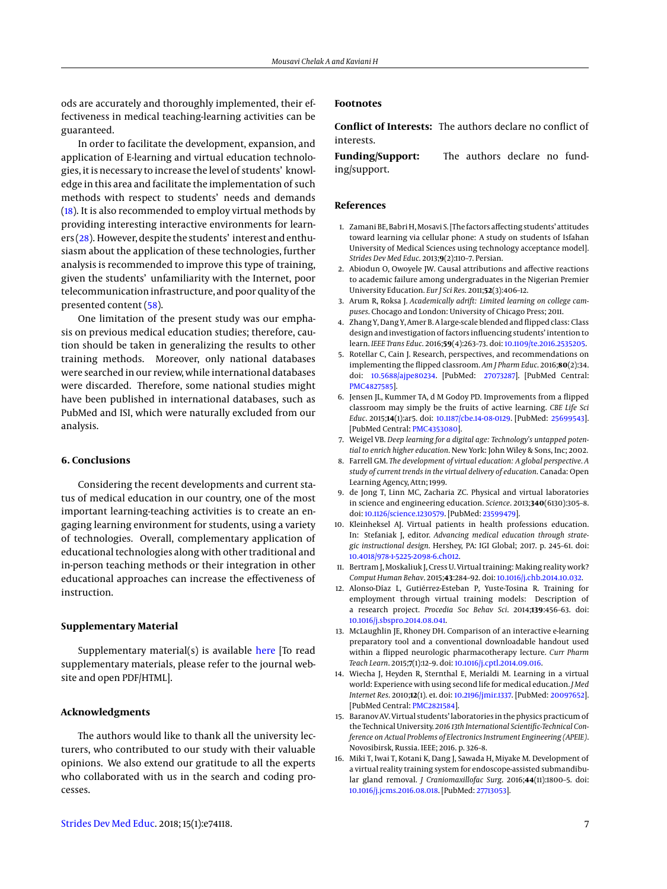ods are accurately and thoroughly implemented, their effectiveness in medical teaching-learning activities can be guaranteed.

In order to facilitate the development, expansion, and application of E-learning and virtual education technologies, it is necessary to increase the level of students' knowledge in this area and facilitate the implementation of such methods with respect to students' needs and demands [\(18\)](#page-7-1). It is also recommended to employ virtual methods by providing interesting interactive environments for learners [\(28\)](#page-7-22). However, despite the students' interest and enthusiasm about the application of these technologies, further analysis is recommended to improve this type of training, given the students' unfamiliarity with the Internet, poor telecommunication infrastructure, and poor quality of the presented content [\(58\)](#page-8-5).

One limitation of the present study was our emphasis on previous medical education studies; therefore, caution should be taken in generalizing the results to other training methods. Moreover, only national databases were searched in our review, while international databases were discarded. Therefore, some national studies might have been published in international databases, such as PubMed and ISI, which were naturally excluded from our analysis.

#### **6. Conclusions**

Considering the recent developments and current status of medical education in our country, one of the most important learning-teaching activities is to create an engaging learning environment for students, using a variety of technologies. Overall, complementary application of educational technologies along with other traditional and in-person teaching methods or their integration in other educational approaches can increase the effectiveness of instruction.

#### **Supplementary Material**

Supplementary material(s) is available [here](https://neoscriber.org/cdn/serve/314ad/83de3f82937b8eead5e0521dfd922b245f4580ec/sdme-74118-supplementary%20file.pdf) [To read supplementary materials, please refer to the journal website and open PDF/HTML].

### **Acknowledgments**

The authors would like to thank all the university lecturers, who contributed to our study with their valuable opinions. We also extend our gratitude to all the experts who collaborated with us in the search and coding processes.

**Conflict of Interests:** The authors declare no conflict of interests.

**Funding/Support:** The authors declare no funding/support.

#### **References**

- <span id="page-6-0"></span>1. Zamani BE, Babri H,Mosavi S. [The factors affecting students' attitudes toward learning via cellular phone: A study on students of Isfahan University of Medical Sciences using technology acceptance model]. *Strides Dev Med Educ*. 2013;**9**(2):110–7. Persian.
- <span id="page-6-1"></span>2. Abiodun O, Owoyele JW. Causal attributions and affective reactions to academic failure among undergraduates in the Nigerian Premier University Education. *Eur J Sci Res*. 2011;**52**(3):406–12.
- <span id="page-6-2"></span>3. Arum R, Roksa J. *Academically adrift: Limited learning on college campuses*. Chocago and London: University of Chicago Press; 2011.
- <span id="page-6-3"></span>4. Zhang Y, Dang Y, Amer B. A large-scale blended and flipped class: Class design and investigation of factors influencing students' intention to learn. *IEEE Trans Educ*. 2016;**59**(4):263–73. doi: [10.1109/te.2016.2535205.](http://dx.doi.org/10.1109/te.2016.2535205)
- <span id="page-6-4"></span>5. Rotellar C, Cain J. Research, perspectives, and recommendations on implementing the flipped classroom. *Am J Pharm Educ*. 2016;**80**(2):34. doi: [10.5688/ajpe80234.](http://dx.doi.org/10.5688/ajpe80234) [PubMed: [27073287\]](http://www.ncbi.nlm.nih.gov/pubmed/27073287). [PubMed Central: [PMC4827585\]](https://www.ncbi.nlm.nih.gov/pmc/articles/PMC4827585).
- <span id="page-6-5"></span>6. Jensen JL, Kummer TA, d M Godoy PD. Improvements from a flipped classroom may simply be the fruits of active learning. *CBE Life Sci Educ*. 2015;**14**(1):ar5. doi: [10.1187/cbe.14-08-0129.](http://dx.doi.org/10.1187/cbe.14-08-0129) [PubMed: [25699543\]](http://www.ncbi.nlm.nih.gov/pubmed/25699543). [PubMed Central: [PMC4353080\]](https://www.ncbi.nlm.nih.gov/pmc/articles/PMC4353080).
- <span id="page-6-6"></span>7. Weigel VB. *Deep learning for a digital age: Technology's untapped potential to enrich higher education*. New York: John Wiley & Sons, Inc; 2002.
- <span id="page-6-7"></span>8. Farrell GM. *The development of virtual education: A global perspective. A study of current trends in the virtual delivery of education*. Canada: Open Learning Agency, Attn; 1999.
- <span id="page-6-8"></span>9. de Jong T, Linn MC, Zacharia ZC. Physical and virtual laboratories in science and engineering education. *Science*. 2013;**340**(6130):305–8. doi: [10.1126/science.1230579.](http://dx.doi.org/10.1126/science.1230579) [PubMed: [23599479\]](http://www.ncbi.nlm.nih.gov/pubmed/23599479).
- <span id="page-6-9"></span>10. Kleinheksel AJ. Virtual patients in health professions education. In: Stefaniak J, editor. *Advancing medical education through strategic instructional design*. Hershey, PA: IGI Global; 2017. p. 245–61. doi: [10.4018/978-1-5225-2098-6.ch012.](http://dx.doi.org/10.4018/978-1-5225-2098-6.ch012)
- <span id="page-6-10"></span>11. Bertram J, Moskaliuk J, Cress U. Virtual training: Making reality work? *Comput Human Behav*. 2015;**43**:284–92. doi: [10.1016/j.chb.2014.10.032.](http://dx.doi.org/10.1016/j.chb.2014.10.032)
- <span id="page-6-11"></span>12. Alonso-Díaz L, Gutiérrez-Esteban P, Yuste-Tosina R. Training for employment through virtual training models: Description of a research project. *Procedia Soc Behav Sci*. 2014;**139**:456–63. doi: [10.1016/j.sbspro.2014.08.041.](http://dx.doi.org/10.1016/j.sbspro.2014.08.041)
- <span id="page-6-12"></span>13. McLaughlin JE, Rhoney DH. Comparison of an interactive e-learning preparatory tool and a conventional downloadable handout used within a flipped neurologic pharmacotherapy lecture. *Curr Pharm Teach Learn*. 2015;**7**(1):12–9. doi: [10.1016/j.cptl.2014.09.016.](http://dx.doi.org/10.1016/j.cptl.2014.09.016)
- <span id="page-6-13"></span>14. Wiecha J, Heyden R, Sternthal E, Merialdi M. Learning in a virtual world: Experience with using second life for medical education. *J Med Internet Res*. 2010;**12**(1). e1. doi: [10.2196/jmir.1337.](http://dx.doi.org/10.2196/jmir.1337) [PubMed: [20097652\]](http://www.ncbi.nlm.nih.gov/pubmed/20097652). [PubMed Central: [PMC2821584\]](https://www.ncbi.nlm.nih.gov/pmc/articles/PMC2821584).
- <span id="page-6-14"></span>15. Baranov AV. Virtual students' laboratories in the physics practicum of the Technical University. *2016 13th International Scientific-Technical Conference on Actual Problems of Electronics Instrument Engineering (APEIE)*. Novosibirsk, Russia. IEEE; 2016. p. 326–8.
- <span id="page-6-15"></span>16. Miki T, Iwai T, Kotani K, Dang J, Sawada H, Miyake M. Development of a virtual reality training system for endoscope-assisted submandibular gland removal. *J Craniomaxillofac Surg*. 2016;**44**(11):1800–5. doi: [10.1016/j.jcms.2016.08.018.](http://dx.doi.org/10.1016/j.jcms.2016.08.018) [PubMed: [27713053\]](http://www.ncbi.nlm.nih.gov/pubmed/27713053).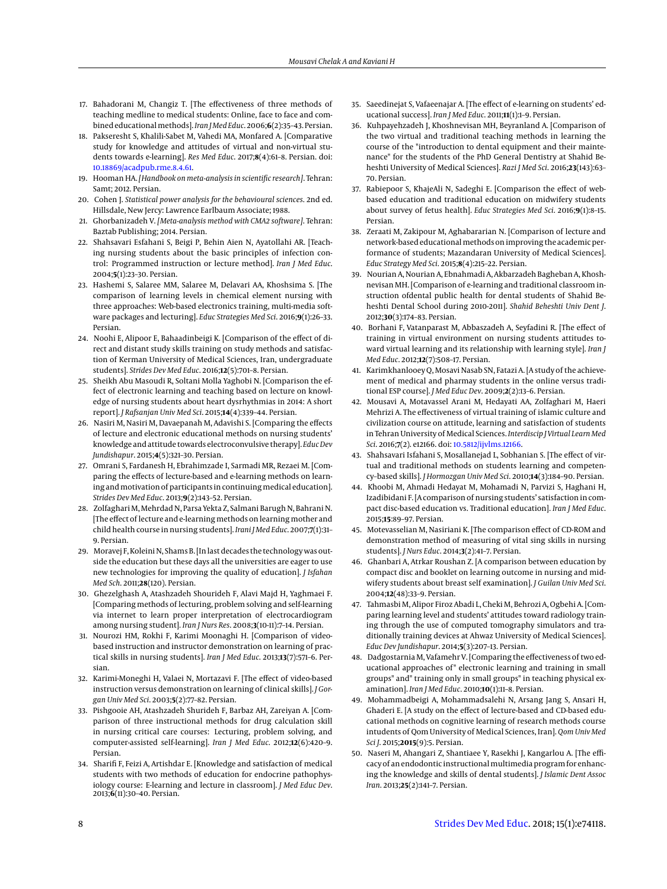- <span id="page-7-0"></span>17. Bahadorani M, Changiz T. [The effectiveness of three methods of teaching medline to medical students: Online, face to face and combined educationalmethods]. *Iran J Med Educ*. 2006;**6**(2):35–43. Persian.
- <span id="page-7-1"></span>18. Pakseresht S, Khalili-Sabet M, Vahedi MA, Monfared A. [Comparative study for knowledge and attitudes of virtual and non-virtual students towards e-learning]. *Res Med Educ*. 2017;**8**(4):61–8. Persian. doi: [10.18869/acadpub.rme.8.4.61.](http://dx.doi.org/10.18869/acadpub.rme.8.4.61)
- <span id="page-7-2"></span>19. Hooman HA.*[Handbook on meta-analysis in scientific research]*. Tehran: Samt; 2012. Persian.
- <span id="page-7-3"></span>20. Cohen J. *Statistical power analysis for the behavioural sciences*. 2nd ed. Hillsdale, New Jercy: Lawrence Earlbaum Associate; 1988.
- <span id="page-7-4"></span>21. Ghorbanizadeh V. *[Meta-analysis method with CMA2 software]*. Tehran: Baztab Publishing; 2014. Persian.
- <span id="page-7-10"></span>22. Shahsavari Esfahani S, Beigi P, Behin Aien N, Ayatollahi AR. [Teaching nursing students about the basic principles of infection control: Programmed instruction or lecture method]. *Iran J Med Educ*. 2004;**5**(1):23–30. Persian.
- <span id="page-7-5"></span>23. Hashemi S, Salaree MM, Salaree M, Delavari AA, Khoshsima S. [The comparison of learning levels in chemical element nursing with three approaches: Web-based electronics training, multi-media software packages and lecturing]. *Educ Strategies Med Sci*. 2016;**9**(1):26–33. Persian.
- <span id="page-7-11"></span>24. Noohi E, Alipoor E, Bahaadinbeigi K. [Comparison of the effect of direct and distant study skills training on study methods and satisfaction of Kerman University of Medical Sciences, Iran, undergraduate students]. *Strides Dev Med Educ*. 2016;**12**(5):701–8. Persian.
- 25. Sheikh Abu Masoudi R, Soltani Molla Yaghobi N. [Comparison the effect of electronic learning and teaching based on lecture on knowledge of nursing students about heart dysrhythmias in 2014: A short report]. *J Rafsanjan Univ Med Sci*. 2015;**14**(4):339–44. Persian.
- 26. Nasiri M, Nasiri M, Davaepanah M, Adavishi S. [Comparing the effects of lecture and electronic educational methods on nursing students' knowledge and attitude towards electroconvulsive therapy]. *Educ Dev Jundishapur*. 2015;**4**(5):321–30. Persian.
- 27. Omrani S, Fardanesh H, Ebrahimzade I, Sarmadi MR, Rezaei M. [Comparing the effects of lecture-based and e-learning methods on learning and motivation of participants in continuing medical education]. *Strides Dev Med Educ*. 2013;**9**(2):143–52. Persian.
- <span id="page-7-22"></span>28. Zolfaghari M, Mehrdad N, Parsa Yekta Z, Salmani Barugh N, Bahrani N. [The effect of lecture and e-learningmethods on learningmother and child health course in nursing students]. *Irani J Med Educ*. 2007;**7**(1):31– 9. Persian.
- 29. Moravej F, Koleini N, Shams B. [In last decades the technology was outside the education but these days all the universities are eager to use new technologies for improving the quality of education]. *J Isfahan Med Sch*. 2011;**28**(120). Persian.
- <span id="page-7-12"></span>30. Ghezelghash A, Atashzadeh Shourideh F, Alavi Majd H, Yaghmaei F. [Comparing methods of lecturing, problem solving and self-learning via internet to learn proper interpretation of electrocardiogram among nursing student]. *Iran J Nurs Res*. 2008;**3**(10-11):7–14. Persian.
- <span id="page-7-13"></span>31. Nourozi HM, Rokhi F, Karimi Moonaghi H. [Comparison of videobased instruction and instructor demonstration on learning of practical skills in nursing students]. *Iran J Med Educ*. 2013;**13**(7):571–6. Persian.
- <span id="page-7-14"></span>32. Karimi-Moneghi H, Valaei N, Mortazavi F. [The effect of video-based instruction versus demonstration on learning of clinical skills]. *J Gorgan Univ Med Sci*. 2003;**5**(2):77–82. Persian.
- <span id="page-7-15"></span>33. Pishgooie AH, Atashzadeh Shurideh F, Barbaz AH, Zareiyan A. [Comparison of three instructional methods for drug calculation skill in nursing critical care courses: Lecturing, problem solving, and computer-assisted self-learning]. *Iran J Med Educ*. 2012;**12**(6):420–9. Persian.
- <span id="page-7-16"></span>34. Sharifi F, Feizi A, Artishdar E. [Knowledge and satisfaction of medical students with two methods of education for endocrine pathophysiology course: E-learning and lecture in classroom]. *J Med Educ Dev*. 2013;**6**(11):30–40. Persian.
- 35. Saeedinejat S, Vafaeenajar A. [The effect of e-learning on students' educational success]. *Iran J Med Educ*. 2011;**11**(1):1–9. Persian.
- 36. Kuhpayehzadeh J, Khoshnevisan MH, Beyranland A. [Comparison of the two virtual and traditional teaching methods in learning the course of the "introduction to dental equipment and their maintenance" for the students of the PhD General Dentistry at Shahid Beheshti University of Medical Sciences]. *Razi J Med Sci*. 2016;**23**(143):63– 70. Persian.
- <span id="page-7-6"></span>37. Rabiepoor S, KhajeAli N, Sadeghi E. [Comparison the effect of webbased education and traditional education on midwifery students about survey of fetus health]. *Educ Strategies Med Sci*. 2016;**9**(1):8–15. Persian.
- <span id="page-7-7"></span>38. Zeraati M, Zakipour M, Aghabararian N. [Comparison of lecture and network-based educationalmethods on improving the academic performance of students; Mazandaran University of Medical Sciences]. *Educ Strategy Med Sci*. 2015;**8**(4):215–22. Persian.
- 39. Nourian A, Nourian A, Ebnahmadi A, Akbarzadeh Bagheban A, Khoshnevisan MH. [Comparison of e-learning and traditional classroom instruction ofdental public health for dental students of Shahid Beheshti Dental School during 2010-2011]. *Shahid Beheshti Univ Dent J*. 2012;**30**(3):174–83. Persian.
- <span id="page-7-9"></span>40. Borhani F, Vatanparast M, Abbaszadeh A, Seyfadini R. [The effect of training in virtual environment on nursing students attitudes toward virtual learning and its relationship with learning style]. *Iran J Med Educ*. 2012;**12**(7):508–17. Persian.
- 41. Karimkhanlooey Q, Mosavi Nasab SN, Fatazi A. [A study of the achievement of medical and pharmay students in the online versus traditional ESP course]. *J Med Educ Dev*. 2009;**2**(2):13–6. Persian.
- <span id="page-7-20"></span>42. Mousavi A, Motavassel Arani M, Hedayati AA, Zolfaghari M, Haeri Mehrizi A. The effectiveness of virtual training of islamic culture and civilization course on attitude, learning and satisfaction of students in Tehran University of Medical Sciences. *Interdiscip J Virtual Learn Med Sci*. 2016;**7**(2). e12166. doi: [10.5812/ijvlms.12166.](http://dx.doi.org/10.5812/ijvlms.12166)
- <span id="page-7-17"></span>43. Shahsavari Isfahani S, Mosallanejad L, Sobhanian S. [The effect of virtual and traditional methods on students learning and competency–based skills]. *J Hormozgan Univ Med Sci*. 2010;**14**(3):184–90. Persian.
- <span id="page-7-18"></span>44. Khoobi M, Ahmadi Hedayat M, Mohamadi N, Parvizi S, Haghani H, Izadibidani F. [A comparison of nursing students' satisfaction in compact disc-based education vs. Traditional education]. *Iran J Med Educ*. 2015;**15**:89–97. Persian.
- 45. Motevasselian M, Nasiriani K. [The comparison effect of CD-ROM and demonstration method of measuring of vital sing skills in nursing students]. *J Nurs Educ*. 2014;**3**(2):41–7. Persian.
- 46. Ghanbari A, Atrkar Roushan Z. [A comparison between education by compact disc and booklet on learning outcome in nursing and midwifery students about breast self examination]. *J Guilan Univ Med Sci*. 2004;**12**(48):33–9. Persian.
- <span id="page-7-8"></span>47. Tahmasbi M, Alipor Firoz Abadi L, Cheki M, Behrozi A, Ogbehi A. [Comparing learning level and students' attitudes toward radiology training through the use of computed tomography simulators and traditionally training devices at Ahwaz University of Medical Sciences]. *Educ Dev Jundishapur*. 2014;**5**(3):207–13. Persian.
- <span id="page-7-19"></span>48. Dadgostarnia M, Vafamehr V. [Comparing the effectiveness of two educational approaches of" electronic learning and training in small groups" and" training only in small groups" in teaching physical examination]. *Iran J Med Educ*. 2010;**10**(1):11–8. Persian.
- 49. Mohammadbeigi A, Mohammadsalehi N, Arsang Jang S, Ansari H, Ghaderi E. [A study on the effect of lecture-based and CD-based educational methods on cognitive learning of research methods course intudents of Qom University of Medical Sciences, Iran]. *Qom Univ Med Sci J*. 2015;**2015**(9):5. Persian.
- <span id="page-7-21"></span>50. Naseri M, Ahangari Z, Shantiaee Y, Rasekhi J, Kangarlou A. [The efficacy of an endodontic instructional multimedia program for enhancing the knowledge and skills of dental students]. *J Islamic Dent Assoc Iran*. 2013;**25**(2):141–7. Persian.